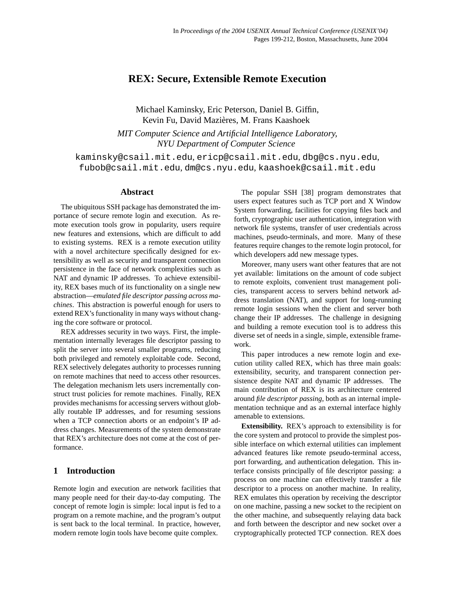# **REX: Secure, Extensible Remote Execution**

Michael Kaminsky, Eric Peterson, Daniel B. Giffin, Kevin Fu, David Mazières, M. Frans Kaashoek *MIT Computer Science and Artificial Intelligence Laboratory, NYU Department of Computer Science*

[kaminsky@csail.mit.edu](mailto:kaminsky@csail.mit.edu), [ericp@csail.mit.edu](mailto:ericp@csail.mit.edu), [dbg@cs.nyu.edu](mailto:dbg@cs.nyu.edu), [fubob@csail.mit.edu](mailto:fubob@csail.mit.edu), [dm@cs.nyu.edu](mailto:dm@cs.nyu.edu), [kaashoek@csail.mit.edu](mailto:kaashoek@csail.mit.edu)

## **Abstract**

The ubiquitous SSH package has demonstrated the importance of secure remote login and execution. As remote execution tools grow in popularity, users require new features and extensions, which are difficult to add to existing systems. REX is a remote execution utility with a novel architecture specifically designed for extensibility as well as security and transparent connection persistence in the face of network complexities such as NAT and dynamic IP addresses. To achieve extensibility, REX bases much of its functionality on a single new abstraction—*emulated file descriptor passing across machines*. This abstraction is powerful enough for users to extend REX's functionality in many ways without changing the core software or protocol.

REX addresses security in two ways. First, the implementation internally leverages file descriptor passing to split the server into several smaller programs, reducing both privileged and remotely exploitable code. Second, REX selectively delegates authority to processes running on remote machines that need to access other resources. The delegation mechanism lets users incrementally construct trust policies for remote machines. Finally, REX provides mechanisms for accessing servers without globally routable IP addresses, and for resuming sessions when a TCP connection aborts or an endpoint's IP address changes. Measurements of the system demonstrate that REX's architecture does not come at the cost of performance.

## **1 Introduction**

Remote login and execution are network facilities that many people need for their day-to-day computing. The concept of remote login is simple: local input is fed to a program on a remote machine, and the program's output is sent back to the local terminal. In practice, however, modern remote login tools have become quite complex.

The popular SSH [\[38\]](#page-13-0) program demonstrates that users expect features such as TCP port and X Window System forwarding, facilities for copying files back and forth, cryptographic user authentication, integration with network file systems, transfer of user credentials across machines, pseudo-terminals, and more. Many of these features require changes to the remote login protocol, for which developers add new message types.

Moreover, many users want other features that are not yet available: limitations on the amount of code subject to remote exploits, convenient trust management policies, transparent access to servers behind network address translation (NAT), and support for long-running remote login sessions when the client and server both change their IP addresses. The challenge in designing and building a remote execution tool is to address this diverse set of needs in a single, simple, extensible framework.

This paper introduces a new remote login and execution utility called REX, which has three main goals: extensibility, security, and transparent connection persistence despite NAT and dynamic IP addresses. The main contribution of REX is its architecture centered around *file descriptor passing*, both as an internal implementation technique and as an external interface highly amenable to extensions.

**Extensibility.** REX's approach to extensibility is for the core system and protocol to provide the simplest possible interface on which external utilities can implement advanced features like remote pseudo-terminal access, port forwarding, and authentication delegation. This interface consists principally of file descriptor passing: a process on one machine can effectively transfer a file descriptor to a process on another machine. In reality, REX emulates this operation by receiving the descriptor on one machine, passing a new socket to the recipient on the other machine, and subsequently relaying data back and forth between the descriptor and new socket over a cryptographically protected TCP connection. REX does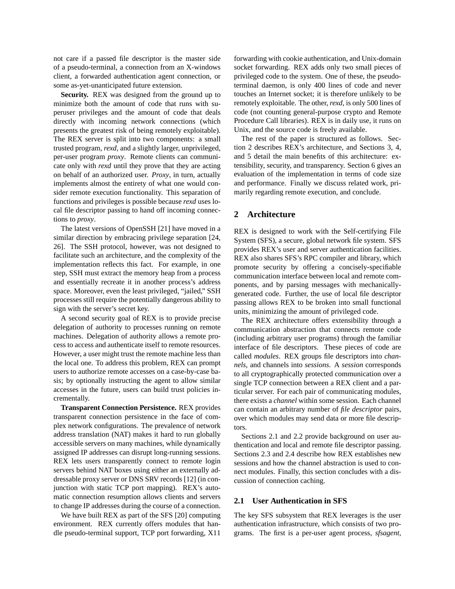not care if a passed file descriptor is the master side of a pseudo-terminal, a connection from an X-windows client, a forwarded authentication agent connection, or some as-yet-unanticipated future extension.

**Security.** REX was designed from the ground up to minimize both the amount of code that runs with superuser privileges and the amount of code that deals directly with incoming network connections (which presents the greatest risk of being remotely exploitable). The REX server is split into two components: a small trusted program, *rexd*, and a slightly larger, unprivileged, per-user program *proxy*. Remote clients can communicate only with *rexd* until they prove that they are acting on behalf of an authorized user. *Proxy*, in turn, actually implements almost the entirety of what one would consider remote execution functionality. This separation of functions and privileges is possible because *rexd* uses local file descriptor passing to hand off incoming connections to *proxy*.

The latest versions of OpenSSH [\[21\]](#page-13-1) have moved in a similar direction by embracing privilege separation [\[24,](#page-13-2) [26\]](#page-13-3). The SSH protocol, however, was not designed to facilitate such an architecture, and the complexity of the implementation reflects this fact. For example, in one step, SSH must extract the memory heap from a process and essentially recreate it in another process's address space. Moreover, even the least privileged, "jailed," SSH processes still require the potentially dangerous ability to sign with the server's secret key.

A second security goal of REX is to provide precise delegation of authority to processes running on remote machines. Delegation of authority allows a remote process to access and authenticate itself to remote resources. However, a user might trust the remote machine less than the local one. To address this problem, REX can prompt users to authorize remote accesses on a case-by-case basis; by optionally instructing the agent to allow similar accesses in the future, users can build trust policies incrementally.

**Transparent Connection Persistence.** REX provides transparent connection persistence in the face of complex network configurations. The prevalence of network address translation (NAT) makes it hard to run globally accessible servers on many machines, while dynamically assigned IP addresses can disrupt long-running sessions. REX lets users transparently connect to remote login servers behind NAT boxes using either an externally addressable proxy server or DNS SRV records [\[12\]](#page-13-4) (in conjunction with static TCP port mapping). REX's automatic connection resumption allows clients and servers to change IP addresses during the course of a connection.

We have built REX as part of the SFS [\[20\]](#page-13-5) computing environment. REX currently offers modules that handle pseudo-terminal support, TCP port forwarding, X11

forwarding with cookie authentication, and Unix-domain socket forwarding. REX adds only two small pieces of privileged code to the system. One of these, the pseudoterminal daemon, is only 400 lines of code and never touches an Internet socket; it is therefore unlikely to be remotely exploitable. The other, *rexd*, is only 500 lines of code (not counting general-purpose crypto and Remote Procedure Call libraries). REX is in daily use, it runs on Unix, and the source code is freely available.

The rest of the paper is structured as follows. Section [2](#page-1-0) describes REX's architecture, and Sections [3,](#page-4-0) [4,](#page-6-0) and [5](#page-7-0) detail the main benefits of this architecture: extensibility, security, and transparency. Section [6](#page-9-0) gives an evaluation of the implementation in terms of code size and performance. Finally we discuss related work, primarily regarding remote execution, and conclude.

## <span id="page-1-0"></span>**2 Architecture**

REX is designed to work with the Self-certifying File System (SFS), a secure, global network file system. SFS provides REX's user and server authentication facilities. REX also shares SFS's RPC compiler and library, which promote security by offering a concisely-specifiable communication interface between local and remote components, and by parsing messages with mechanicallygenerated code. Further, the use of local file descriptor passing allows REX to be broken into small functional units, minimizing the amount of privileged code.

The REX architecture offers extensibility through a communication abstraction that connects remote code (including arbitrary user programs) through the familiar interface of file descriptors. These pieces of code are called *modules*. REX groups file descriptors into *channels*, and channels into *sessions*. A *session* corresponds to all cryptographically protected communication over a single TCP connection between a REX client and a particular server. For each pair of communicating modules, there exists a *channel* within some session. Each channel can contain an arbitrary number of *file descriptor* pairs, over which modules may send data or more file descriptors.

Sections [2.1](#page-1-1) and [2.2](#page-2-0) provide background on user authentication and local and remote file descriptor passing. Sections [2.3](#page-2-1) and [2.4](#page-3-0) describe how REX establishes new sessions and how the channel abstraction is used to connect modules. Finally, this section concludes with a discussion of connection caching.

### <span id="page-1-1"></span>**2.1 User Authentication in SFS**

The key SFS subsystem that REX leverages is the user authentication infrastructure, which consists of two programs. The first is a per-user agent process, *sfsagent*,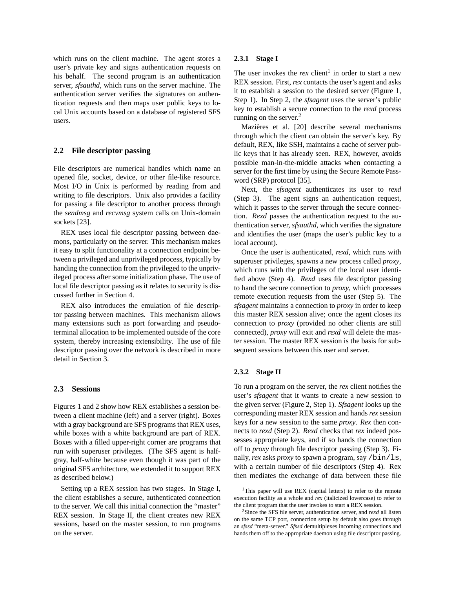which runs on the client machine. The agent stores a user's private key and signs authentication requests on his behalf. The second program is an authentication server, *sfsauthd*, which runs on the server machine. The authentication server verifies the signatures on authentication requests and then maps user public keys to local Unix accounts based on a database of registered SFS users.

## <span id="page-2-0"></span>**2.2 File descriptor passing**

File descriptors are numerical handles which name an opened file, socket, device, or other file-like resource. Most I/O in Unix is performed by reading from and writing to file descriptors. Unix also provides a facility for passing a file descriptor to another process through the *sendmsg* and *recvmsg* system calls on Unix-domain sockets [\[23\]](#page-13-6).

REX uses local file descriptor passing between daemons, particularly on the server. This mechanism makes it easy to split functionality at a connection endpoint between a privileged and unprivileged process, typically by handing the connection from the privileged to the unprivileged process after some initialization phase. The use of local file descriptor passing as it relates to security is discussed further in Section [4.](#page-6-0)

REX also introduces the emulation of file descriptor passing between machines. This mechanism allows many extensions such as port forwarding and pseudoterminal allocation to be implemented outside of the core system, thereby increasing extensibility. The use of file descriptor passing over the network is described in more detail in Section [3.](#page-4-0)

## <span id="page-2-1"></span>**2.3 Sessions**

Figures [1](#page-3-1) and [2](#page-3-2) show how REX establishes a session between a client machine (left) and a server (right). Boxes with a gray background are SFS programs that REX uses, while boxes with a white background are part of REX. Boxes with a filled upper-right corner are programs that run with superuser privileges. (The SFS agent is halfgray, half-white because even though it was part of the original SFS architecture, we extended it to support REX as described below.)

Setting up a REX session has two stages. In Stage I, the client establishes a secure, authenticated connection to the server. We call this initial connection the "master" REX session. In Stage II, the client creates new REX sessions, based on the master session, to run programs on the server.

#### **2.3.1 Stage I**

The user invokes the *rex* client<sup>[1](#page-2-2)</sup> in order to start a new REX session. First, *rex* contacts the user's agent and asks it to establish a session to the desired server (Figure [1,](#page-3-1) Step 1). In Step 2, the *sfsagent* uses the server's public key to establish a secure connection to the *rexd* process running on the server. $<sup>2</sup>$  $<sup>2</sup>$  $<sup>2</sup>$ </sup>

Mazières et al. [\[20\]](#page-13-5) describe several mechanisms through which the client can obtain the server's key. By default, REX, like SSH, maintains a cache of server public keys that it has already seen. REX, however, avoids possible man-in-the-middle attacks when contacting a server for the first time by using the Secure Remote Password (SRP) protocol [\[35\]](#page-13-7).

Next, the *sfsagent* authenticates its user to *rexd* (Step 3). The agent signs an authentication request, which it passes to the server through the secure connection. *Rexd* passes the authentication request to the authentication server, *sfsauthd*, which verifies the signature and identifies the user (maps the user's public key to a local account).

Once the user is authenticated, *rexd*, which runs with superuser privileges, spawns a new process called *proxy*, which runs with the privileges of the local user identified above (Step 4). *Rexd* uses file descriptor passing to hand the secure connection to *proxy*, which processes remote execution requests from the user (Step 5). The *sfsagent* maintains a connection to *proxy* in order to keep this master REX session alive; once the agent closes its connection to *proxy* (provided no other clients are still connected), *proxy* will exit and *rexd* will delete the master session. The master REX session is the basis for subsequent sessions between this user and server.

### **2.3.2 Stage II**

To run a program on the server, the *rex* client notifies the user's *sfsagent* that it wants to create a new session to the given server (Figure [2,](#page-3-2) Step 1). *Sfsagent* looks up the corresponding master REX session and hands *rex* session keys for a new session to the same *proxy*. *Rex* then connects to *rexd* (Step 2). *Rexd* checks that *rex* indeed possesses appropriate keys, and if so hands the connection off to *proxy* through file descriptor passing (Step 3). Finally, *rex* asks *proxy* to spawn a program, say /bin/ls, with a certain number of file descriptors (Step 4). Rex then mediates the exchange of data between these file

<span id="page-2-2"></span><sup>&</sup>lt;sup>1</sup>This paper will use REX (capital letters) to refer to the remote execution facility as a whole and *rex* (italicized lowercase) to refer to the client program that the user invokes to start a REX session.

<span id="page-2-3"></span><sup>2</sup>Since the SFS file server, authentication server, and *rexd* all listen on the same TCP port, connection setup by default also goes through an *sfssd* "meta-server." *Sfssd* demultiplexes incoming connections and hands them off to the appropriate daemon using file descriptor passing.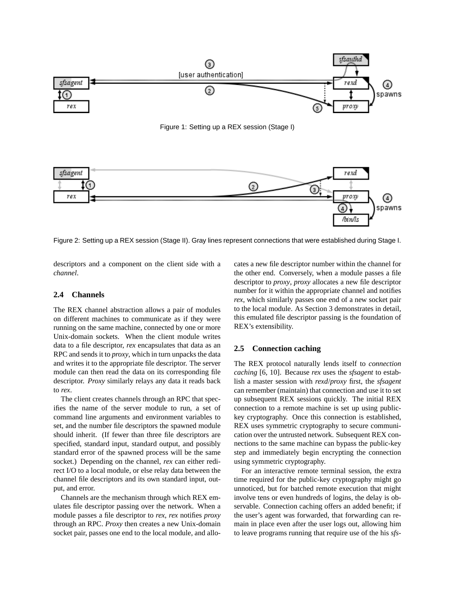

<span id="page-3-2"></span>Figure 2: Setting up a REX session (Stage II). Gray lines represent connections that were established during Stage I.

descriptors and a component on the client side with a *channel*.

## <span id="page-3-0"></span>**2.4 Channels**

The REX channel abstraction allows a pair of modules on different machines to communicate as if they were running on the same machine, connected by one or more Unix-domain sockets. When the client module writes data to a file descriptor, *rex* encapsulates that data as an RPC and sends it to *proxy*, which in turn unpacks the data and writes it to the appropriate file descriptor. The server module can then read the data on its corresponding file descriptor. *Proxy* similarly relays any data it reads back to *rex*.

The client creates channels through an RPC that specifies the name of the server module to run, a set of command line arguments and environment variables to set, and the number file descriptors the spawned module should inherit. (If fewer than three file descriptors are specified, standard input, standard output, and possibly standard error of the spawned process will be the same socket.) Depending on the channel, *rex* can either redirect I/O to a local module, or else relay data between the channel file descriptors and its own standard input, output, and error.

Channels are the mechanism through which REX emulates file descriptor passing over the network. When a module passes a file descriptor to *rex*, *rex* notifies *proxy* through an RPC. *Proxy* then creates a new Unix-domain socket pair, passes one end to the local module, and allo<span id="page-3-1"></span>cates a new file descriptor number within the channel for the other end. Conversely, when a module passes a file descriptor to *proxy*, *proxy* allocates a new file descriptor number for it within the appropriate channel and notifies *rex*, which similarly passes one end of a new socket pair to the local module. As Section [3](#page-4-0) demonstrates in detail, this emulated file descriptor passing is the foundation of REX's extensibility.

## **2.5 Connection caching**

The REX protocol naturally lends itself to *connection caching* [\[6,](#page-13-8) [10\]](#page-13-9). Because *rex* uses the *sfsagent* to establish a master session with *rexd*/*proxy* first, the *sfsagent* can remember (maintain) that connection and use it to set up subsequent REX sessions quickly. The initial REX connection to a remote machine is set up using publickey cryptography. Once this connection is established, REX uses symmetric cryptography to secure communication over the untrusted network. Subsequent REX connections to the same machine can bypass the public-key step and immediately begin encrypting the connection using symmetric cryptography.

For an interactive remote terminal session, the extra time required for the public-key cryptography might go unnoticed, but for batched remote execution that might involve tens or even hundreds of logins, the delay is observable. Connection caching offers an added benefit; if the user's agent was forwarded, that forwarding can remain in place even after the user logs out, allowing him to leave programs running that require use of the his *sfs-*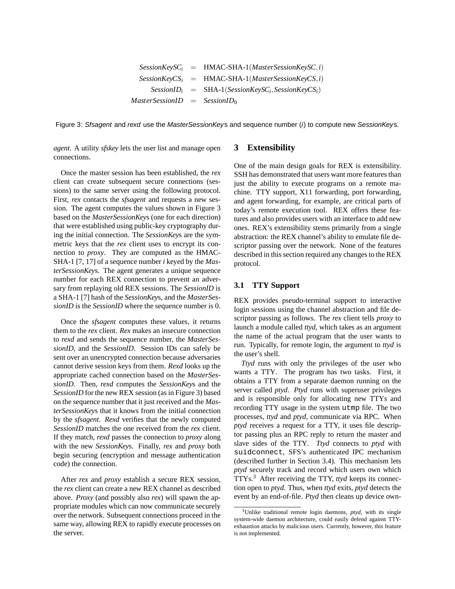$SessionKeySC_i$  = HMAC-SHA-1(*MasterSessionKeySC*,*i*)  $SessionKeyCS$ <sup>*i*</sup> = HMAC-SHA-1(*MasterSessionKeyCS*,*i*) *SessionID<sup>i</sup>* = SHA-1(*SessionKeySC<sup>i</sup>* ,*SessionKeyCSi*)  $MasterSessionID = SessionID_0$ 

<span id="page-4-1"></span>Figure 3: Sfsagent and rexd use the MasterSession Keys and sequence number (i) to compute new Session Keys.

*agent*. A utility *sfskey* lets the user list and manage open connections.

Once the master session has been established, the *rex* client can create subsequent secure connections (sessions) to the same server using the following protocol. First, *rex* contacts the *sfsagent* and requests a new session. The agent computes the values shown in Figure [3](#page-4-1) based on the *MasterSessionKey*s (one for each direction) that were established using public-key cryptography during the initial connection. The *SessionKey*s are the symmetric keys that the *rex* client uses to encrypt its connection to *proxy*. They are computed as the HMAC-SHA-1 [\[7,](#page-13-10) [17\]](#page-13-11) of a sequence number *i* keyed by the *MasterSessionKey*s. The agent generates a unique sequence number for each REX connection to prevent an adversary from replaying old REX sessions. The *SessionID* is a SHA-1 [\[7\]](#page-13-10) hash of the *SessionKey*s, and the *MasterSessionID* is the *SessionID* where the sequence number is 0.

Once the *sfsagent* computes these values, it returns them to the *rex* client. *Rex* makes an insecure connection to *rexd* and sends the sequence number, the *MasterSessionID*, and the *SessionID*. Session IDs can safely be sent over an unencrypted connection because adversaries cannot derive session keys from them. *Rexd* looks up the appropriate cached connection based on the *MasterSessionID*. Then, *rexd* computes the *SessionKey*s and the *SessionID* for the new REX session (as in Figure [3\)](#page-4-1) based on the sequence number that it just received and the *MasterSessionKey*s that it knows from the initial connection by the *sfsagent*. *Rexd* verifies that the newly computed *SessionID* matches the one received from the *rex* client. If they match, *rexd* passes the connection to *proxy* along with the new *SessionKey*s. Finally, *rex* and *proxy* both begin securing (encryption and message authentication code) the connection.

After *rex* and *proxy* establish a secure REX session, the *rex* client can create a new REX channel as described above. *Proxy* (and possibly also *rex*) will spawn the appropriate modules which can now communicate securely over the network. Subsequent connections proceed in the same way, allowing REX to rapidly execute processes on the server.

## <span id="page-4-0"></span>**3 Extensibility**

One of the main design goals for REX is extensibility. SSH has demonstrated that users want more features than just the ability to execute programs on a remote machine. TTY support, X11 forwarding, port forwarding, and agent forwarding, for example, are critical parts of today's remote execution tool. REX offers these features and also provides users with an interface to add new ones. REX's extensibility stems primarily from a single abstraction: the REX channel's ability to emulate file descriptor passing over the network. None of the features described in this section required any changes to the REX protocol.

## **3.1 TTY Support**

REX provides pseudo-terminal support to interactive login sessions using the channel abstraction and file descriptor passing as follows. The *rex* client tells *proxy* to launch a module called *ttyd*, which takes as an argument the name of the actual program that the user wants to run. Typically, for remote login, the argument to *ttyd* is the user's shell.

*Ttyd* runs with only the privileges of the user who wants a TTY. The program has two tasks. First, it obtains a TTY from a separate daemon running on the server called *ptyd*. *Ptyd* runs with superuser privileges and is responsible only for allocating new TTYs and recording TTY usage in the system utmp file. The two processes, *ttyd* and *ptyd*, communicate via RPC. When *ptyd* receives a request for a TTY, it uses file descriptor passing plus an RPC reply to return the master and slave sides of the TTY. *Ttyd* connects to *ptyd* with suidconnect, SFS's authenticated IPC mechanism (described further in Section [3.4\)](#page-6-1). This mechanism lets *ptyd* securely track and record which users own which TTYs.[3](#page-4-2) After receiving the TTY, *ttyd* keeps its connection open to *ptyd*. Thus, when *ttyd* exits, *ptyd* detects the event by an end-of-file. *Ptyd* then cleans up device own-

<span id="page-4-2"></span><sup>3</sup>Unlike traditional remote login daemons, *ptyd*, with its single system-wide daemon architecture, could easily defend against TTYexhaustion attacks by malicious users. Currently, however, this feature is not implemented.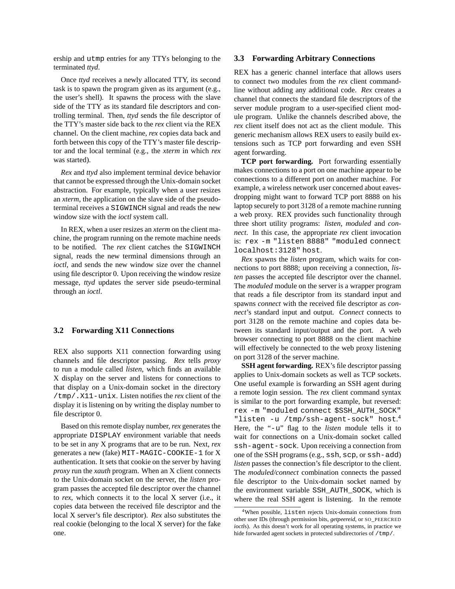ership and utmp entries for any TTYs belonging to the terminated *ttyd*.

Once *ttyd* receives a newly allocated TTY, its second task is to spawn the program given as its argument (e.g., the user's shell). It spawns the process with the slave side of the TTY as its standard file descriptors and controlling terminal. Then, *ttyd* sends the file descriptor of the TTY's master side back to the *rex* client via the REX channel. On the client machine, *rex* copies data back and forth between this copy of the TTY's master file descriptor and the local terminal (e.g., the *xterm* in which *rex* was started).

*Rex* and *ttyd* also implement terminal device behavior that cannot be expressed through the Unix-domain socket abstraction. For example, typically when a user resizes an *xterm*, the application on the slave side of the pseudoterminal receives a SIGWINCH signal and reads the new window size with the *ioctl* system call.

In REX, when a user resizes an *xterm* on the client machine, the program running on the remote machine needs to be notified. The *rex* client catches the SIGWINCH signal, reads the new terminal dimensions through an *ioctl*, and sends the new window size over the channel using file descriptor 0. Upon receiving the window resize message, *ttyd* updates the server side pseudo-terminal through an *ioctl*.

### **3.2 Forwarding X11 Connections**

REX also supports X11 connection forwarding using channels and file descriptor passing. *Rex* tells *proxy* to run a module called *listen*, which finds an available X display on the server and listens for connections to that display on a Unix-domain socket in the directory /tmp/.X11-unix. Listen notifies the *rex* client of the display it is listening on by writing the display number to file descriptor 0.

Based on this remote display number, *rex* generates the appropriate DISPLAY environment variable that needs to be set in any X programs that are to be run. Next, *rex* generates a new (fake) MIT-MAGIC-COOKIE-1 for X authentication. It sets that cookie on the server by having *proxy* run the *xauth* program. When an X client connects to the Unix-domain socket on the server, the *listen* program passes the accepted file descriptor over the channel to *rex*, which connects it to the local X server (i.e., it copies data between the received file descriptor and the local X server's file descriptor). *Rex* also substitutes the real cookie (belonging to the local X server) for the fake one.

### **3.3 Forwarding Arbitrary Connections**

REX has a generic channel interface that allows users to connect two modules from the *rex* client commandline without adding any additional code. *Rex* creates a channel that connects the standard file descriptors of the server module program to a user-specified client module program. Unlike the channels described above, the *rex* client itself does not act as the client module. This generic mechanism allows REX users to easily build extensions such as TCP port forwarding and even SSH agent forwarding.

**TCP port forwarding.** Port forwarding essentially makes connections to a port on one machine appear to be connections to a different port on another machine. For example, a wireless network user concerned about eavesdropping might want to forward TCP port 8888 on his laptop securely to port 3128 of a remote machine running a web proxy. REX provides such functionality through three short utility programs: *listen*, *moduled* and *connect*. In this case, the appropriate *rex* client invocation is: rex -m "listen 8888" "moduled connect localhost:3128" host.

*Rex* spawns the *listen* program, which waits for connections to port 8888; upon receiving a connection, *listen* passes the accepted file descriptor over the channel. The *moduled* module on the server is a wrapper program that reads a file descriptor from its standard input and spawns *connect* with the received file descriptor as *connect*'s standard input and output. *Connect* connects to port 3128 on the remote machine and copies data between its standard input/output and the port. A web browser connecting to port 8888 on the client machine will effectively be connected to the web proxy listening on port 3128 of the server machine.

**SSH agent forwarding.** REX's file descriptor passing applies to Unix-domain sockets as well as TCP sockets. One useful example is forwarding an SSH agent during a remote login session. The *rex* client command syntax is similar to the port forwarding example, but reversed: rex -m "moduled connect \$SSH\_AUTH\_SOCK" "listen -u /tmp/ssh-agent-sock" host.<sup>[4](#page-5-0)</sup> Here, the "-u" flag to the *listen* module tells it to wait for connections on a Unix-domain socket called ssh-agent-sock. Upon receiving a connection from one of the SSH programs (e.g., ssh, scp, or ssh-add) *listen* passes the connection's file descriptor to the client. The *moduled/connect* combination connects the passed file descriptor to the Unix-domain socket named by the environment variable SSH\_AUTH\_SOCK, which is where the real SSH agent is listening. In the remote

<span id="page-5-0"></span><sup>4</sup>When possible, listen rejects Unix-domain connections from other user IDs (through permission bits, *getpeereid*, or SO\_PEERCRED *ioctl*s). As this doesn't work for all operating systems, in practice we hide forwarded agent sockets in protected subdirectories of /tmp/.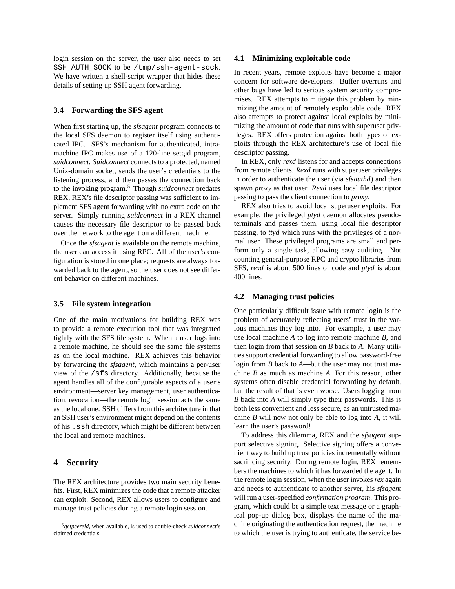login session on the server, the user also needs to set SSH\_AUTH\_SOCK to be /tmp/ssh-agent-sock. We have written a shell-script wrapper that hides these details of setting up SSH agent forwarding.

## <span id="page-6-1"></span>**3.4 Forwarding the SFS agent**

When first starting up, the *sfsagent* program connects to the local SFS daemon to register itself using authenticated IPC. SFS's mechanism for authenticated, intramachine IPC makes use of a 120-line setgid program, *suidconnect*. *Suidconnect* connects to a protected, named Unix-domain socket, sends the user's credentials to the listening process, and then passes the connection back to the invoking program.[5](#page-6-2) Though *suidconnect* predates REX, REX's file descriptor passing was sufficient to implement SFS agent forwarding with no extra code on the server. Simply running *suidconnect* in a REX channel causes the necessary file descriptor to be passed back over the network to the agent on a different machine.

Once the *sfsagent* is available on the remote machine, the user can access it using RPC. All of the user's configuration is stored in one place; requests are always forwarded back to the agent, so the user does not see different behavior on different machines.

### **3.5 File system integration**

One of the main motivations for building REX was to provide a remote execution tool that was integrated tightly with the SFS file system. When a user logs into a remote machine, he should see the same file systems as on the local machine. REX achieves this behavior by forwarding the *sfsagent*, which maintains a per-user view of the /sfs directory. Additionally, because the agent handles all of the configurable aspects of a user's environment—server key management, user authentication, revocation—the remote login session acts the same as the local one. SSH differs from this architecture in that an SSH user's environment might depend on the contents of his .ssh directory, which might be different between the local and remote machines.

## <span id="page-6-0"></span>**4 Security**

The REX architecture provides two main security benefits. First, REX minimizes the code that a remote attacker can exploit. Second, REX allows users to configure and manage trust policies during a remote login session.

### **4.1 Minimizing exploitable code**

In recent years, remote exploits have become a major concern for software developers. Buffer overruns and other bugs have led to serious system security compromises. REX attempts to mitigate this problem by minimizing the amount of remotely exploitable code. REX also attempts to protect against local exploits by minimizing the amount of code that runs with superuser privileges. REX offers protection against both types of exploits through the REX architecture's use of local file descriptor passing.

In REX, only *rexd* listens for and accepts connections from remote clients. *Rexd* runs with superuser privileges in order to authenticate the user (via *sfsauthd*) and then spawn *proxy* as that user. *Rexd* uses local file descriptor passing to pass the client connection to *proxy*.

REX also tries to avoid local superuser exploits. For example, the privileged *ptyd* daemon allocates pseudoterminals and passes them, using local file descriptor passing, to *ttyd* which runs with the privileges of a normal user. These privileged programs are small and perform only a single task, allowing easy auditing. Not counting general-purpose RPC and crypto libraries from SFS, *rexd* is about 500 lines of code and *ptyd* is about 400 lines.

### **4.2 Managing trust policies**

One particularly difficult issue with remote login is the problem of accurately reflecting users' trust in the various machines they log into. For example, a user may use local machine *A* to log into remote machine *B*, and then login from that session on *B* back to *A*. Many utilities support credential forwarding to allow password-free login from *B* back to *A*—but the user may not trust machine *B* as much as machine *A*. For this reason, other systems often disable credential forwarding by default, but the result of that is even worse. Users logging from *B* back into *A* will simply type their passwords. This is both less convenient and less secure, as an untrusted machine *B* will now not only be able to log into *A*, it will learn the user's password!

To address this dilemma, REX and the *sfsagent* support selective signing. Selective signing offers a convenient way to build up trust policies incrementally without sacrificing security. During remote login, REX remembers the machines to which it has forwarded the agent. In the remote login session, when the user invokes *rex* again and needs to authenticate to another server, his *sfsagent* will run a user-specified *confirmation program*. This program, which could be a simple text message or a graphical pop-up dialog box, displays the name of the machine originating the authentication request, the machine to which the user is trying to authenticate, the service be-

<span id="page-6-2"></span><sup>5</sup>*getpeereid*, when available, is used to double-check *suidconnect*'s claimed credentials.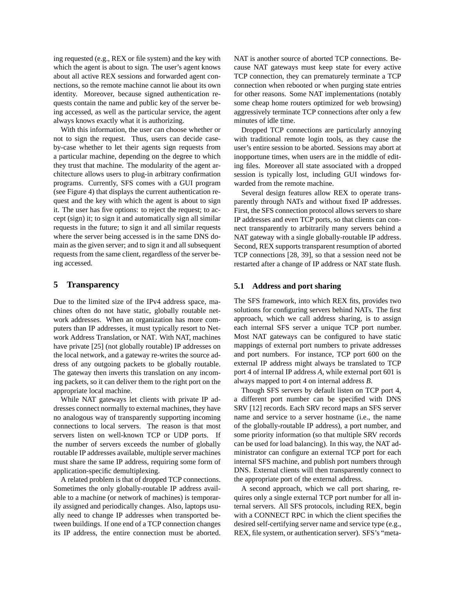ing requested (e.g., REX or file system) and the key with which the agent is about to sign. The user's agent knows about all active REX sessions and forwarded agent connections, so the remote machine cannot lie about its own identity. Moreover, because signed authentication requests contain the name and public key of the server being accessed, as well as the particular service, the agent always knows exactly what it is authorizing.

With this information, the user can choose whether or not to sign the request. Thus, users can decide caseby-case whether to let their agents sign requests from a particular machine, depending on the degree to which they trust that machine. The modularity of the agent architecture allows users to plug-in arbitrary confirmation programs. Currently, SFS comes with a GUI program (see Figure [4\)](#page-8-0) that displays the current authentication request and the key with which the agent is about to sign it. The user has five options: to reject the request; to accept (sign) it; to sign it and automatically sign all similar requests in the future; to sign it and all similar requests where the server being accessed is in the same DNS domain as the given server; and to sign it and all subsequent requests from the same client, regardless of the server being accessed.

## <span id="page-7-0"></span>**5 Transparency**

Due to the limited size of the IPv4 address space, machines often do not have static, globally routable network addresses. When an organization has more computers than IP addresses, it must typically resort to Network Address Translation, or NAT. With NAT, machines have private [\[25\]](#page-13-12) (not globally routable) IP addresses on the local network, and a gateway re-writes the source address of any outgoing packets to be globally routable. The gateway then inverts this translation on any incoming packets, so it can deliver them to the right port on the appropriate local machine.

While NAT gateways let clients with private IP addresses connect normally to external machines, they have no analogous way of transparently supporting incoming connections to local servers. The reason is that most servers listen on well-known TCP or UDP ports. If the number of servers exceeds the number of globally routable IP addresses available, multiple server machines must share the same IP address, requiring some form of application-specific demultiplexing.

A related problem is that of dropped TCP connections. Sometimes the only globally-routable IP address available to a machine (or network of machines) is temporarily assigned and periodically changes. Also, laptops usually need to change IP addresses when transported between buildings. If one end of a TCP connection changes its IP address, the entire connection must be aborted. NAT is another source of aborted TCP connections. Because NAT gateways must keep state for every active TCP connection, they can prematurely terminate a TCP connection when rebooted or when purging state entries for other reasons. Some NAT implementations (notably some cheap home routers optimized for web browsing) aggressively terminate TCP connections after only a few minutes of idle time.

Dropped TCP connections are particularly annoying with traditional remote login tools, as they cause the user's entire session to be aborted. Sessions may abort at inopportune times, when users are in the middle of editing files. Moreover all state associated with a dropped session is typically lost, including GUI windows forwarded from the remote machine.

Several design features allow REX to operate transparently through NATs and without fixed IP addresses. First, the SFS connection protocol allows servers to share IP addresses and even TCP ports, so that clients can connect transparently to arbitrarily many servers behind a NAT gateway with a single globally-routable IP address. Second, REX supports transparent resumption of aborted TCP connections [\[28,](#page-13-13) [39\]](#page-13-14), so that a session need not be restarted after a change of IP address or NAT state flush.

### **5.1 Address and port sharing**

The SFS framework, into which REX fits, provides two solutions for configuring servers behind NATs. The first approach, which we call address sharing, is to assign each internal SFS server a unique TCP port number. Most NAT gateways can be configured to have static mappings of external port numbers to private addresses and port numbers. For instance, TCP port 600 on the external IP address might always be translated to TCP port 4 of internal IP address *A*, while external port 601 is always mapped to port 4 on internal address *B*.

Though SFS servers by default listen on TCP port 4, a different port number can be specified with DNS SRV [\[12\]](#page-13-4) records. Each SRV record maps an SFS server name and service to a server hostname (i.e., the name of the globally-routable IP address), a port number, and some priority information (so that multiple SRV records can be used for load balancing). In this way, the NAT administrator can configure an external TCP port for each internal SFS machine, and publish port numbers through DNS. External clients will then transparently connect to the appropriate port of the external address.

A second approach, which we call port sharing, requires only a single external TCP port number for all internal servers. All SFS protocols, including REX, begin with a CONNECT RPC in which the client specifies the desired self-certifying server name and service type (e.g., REX, file system, or authentication server). SFS's "meta-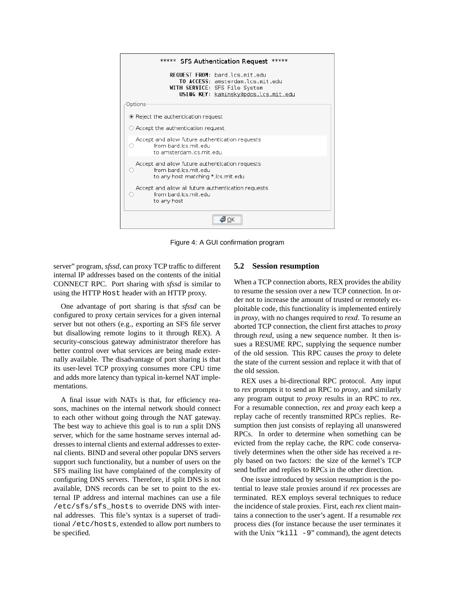

<span id="page-8-0"></span>Figure 4: A GUI confirmation program

server" program, *sfssd*, can proxy TCP traffic to different internal IP addresses based on the contents of the initial CONNECT RPC. Port sharing with *sfssd* is similar to using the HTTP Host header with an HTTP proxy.

One advantage of port sharing is that *sfssd* can be configured to proxy certain services for a given internal server but not others (e.g., exporting an SFS file server but disallowing remote logins to it through REX). A security-conscious gateway administrator therefore has better control over what services are being made externally available. The disadvantage of port sharing is that its user-level TCP proxying consumes more CPU time and adds more latency than typical in-kernel NAT implementations.

A final issue with NATs is that, for efficiency reasons, machines on the internal network should connect to each other without going through the NAT gateway. The best way to achieve this goal is to run a split DNS server, which for the same hostname serves internal addresses to internal clients and external addresses to external clients. BIND and several other popular DNS servers support such functionality, but a number of users on the SFS mailing list have complained of the complexity of configuring DNS servers. Therefore, if split DNS is not available, DNS records can be set to point to the external IP address and internal machines can use a file /etc/sfs/sfs\_hosts to override DNS with internal addresses. This file's syntax is a superset of traditional /etc/hosts, extended to allow port numbers to be specified.

### **5.2 Session resumption**

When a TCP connection aborts, REX provides the ability to resume the session over a new TCP connection. In order not to increase the amount of trusted or remotely exploitable code, this functionality is implemented entirely in *proxy*, with no changes required to *rexd*. To resume an aborted TCP connection, the client first attaches to *proxy* through *rexd*, using a new sequence number. It then issues a RESUME RPC, supplying the sequence number of the old session. This RPC causes the *proxy* to delete the state of the current session and replace it with that of the old session.

REX uses a bi-directional RPC protocol. Any input to *rex* prompts it to send an RPC to *proxy*, and similarly any program output to *proxy* results in an RPC to *rex*. For a resumable connection, *rex* and *proxy* each keep a replay cache of recently transmitted RPCs replies. Resumption then just consists of replaying all unanswered RPCs. In order to determine when something can be evicted from the replay cache, the RPC code conservatively determines when the other side has received a reply based on two factors: the size of the kernel's TCP send buffer and replies to RPCs in the other direction.

One issue introduced by session resumption is the potential to leave stale proxies around if *rex* processes are terminated. REX employs several techniques to reduce the incidence of stale proxies. First, each *rex* client maintains a connection to the user's agent. If a resumable *rex* process dies (for instance because the user terminates it with the Unix " $k$ ill  $-9$ " command), the agent detects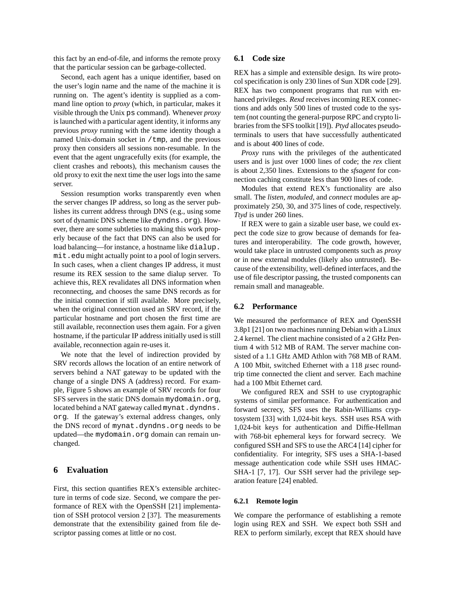this fact by an end-of-file, and informs the remote proxy that the particular session can be garbage-collected.

Second, each agent has a unique identifier, based on the user's login name and the name of the machine it is running on. The agent's identity is supplied as a command line option to *proxy* (which, in particular, makes it visible through the Unix ps command). Whenever *proxy* is launched with a particular agent identity, it informs any previous *proxy* running with the same identity though a named Unix-domain socket in /tmp, and the previous proxy then considers all sessions non-resumable. In the event that the agent ungracefully exits (for example, the client crashes and reboots), this mechanism causes the old proxy to exit the next time the user logs into the same server.

Session resumption works transparently even when the server changes IP address, so long as the server publishes its current address through DNS (e.g., using some sort of dynamic DNS scheme like dyndns.org). However, there are some subtleties to making this work properly because of the fact that DNS can also be used for load balancing—for instance, a hostname like dialup. mit.edu might actually point to a pool of login servers. In such cases, when a client changes IP address, it must resume its REX session to the same dialup server. To achieve this, REX revalidates all DNS information when reconnecting, and chooses the same DNS records as for the initial connection if still available. More precisely, when the original connection used an SRV record, if the particular hostname and port chosen the first time are still available, reconnection uses them again. For a given hostname, if the particular IP address initially used is still available, reconnection again re-uses it.

We note that the level of indirection provided by SRV records allows the location of an entire network of servers behind a NAT gateway to be updated with the change of a single DNS A (address) record. For example, Figure [5](#page-10-0) shows an example of SRV records for four SFS servers in the static DNS domain mydomain.org, located behind a NAT gateway called mynat.dyndns. org. If the gateway's external address changes, only the DNS record of mynat.dyndns.org needs to be updated—the mydomain.org domain can remain unchanged.

# <span id="page-9-0"></span>**6 Evaluation**

First, this section quantifies REX's extensible architecture in terms of code size. Second, we compare the performance of REX with the OpenSSH [\[21\]](#page-13-1) implementation of SSH protocol version 2 [\[37\]](#page-13-15). The measurements demonstrate that the extensibility gained from file descriptor passing comes at little or no cost.

### **6.1 Code size**

REX has a simple and extensible design. Its wire protocol specification is only 230 lines of Sun XDR code [\[29\]](#page-13-16). REX has two component programs that run with enhanced privileges. *Rexd* receives incoming REX connections and adds only 500 lines of trusted code to the system (not counting the general-purpose RPC and crypto libraries from the SFS toolkit [\[19\]](#page-13-17)). *Ptyd* allocates pseudoterminals to users that have successfully authenticated and is about 400 lines of code.

*Proxy* runs with the privileges of the authenticated users and is just over 1000 lines of code; the *rex* client is about 2,350 lines. Extensions to the *sfsagent* for connection caching constitute less than 900 lines of code.

Modules that extend REX's functionality are also small. The *listen*, *moduled*, and *connect* modules are approximately 250, 30, and 375 lines of code, respectively. *Ttyd* is under 260 lines.

If REX were to gain a sizable user base, we could expect the code size to grow because of demands for features and interoperability. The code growth, however, would take place in untrusted components such as *proxy* or in new external modules (likely also untrusted). Because of the extensibility, well-defined interfaces, and the use of file descriptor passing, the trusted components can remain small and manageable.

## **6.2 Performance**

We measured the performance of REX and OpenSSH 3.8p1 [\[21\]](#page-13-1) on two machines running Debian with a Linux 2.4 kernel. The client machine consisted of a 2 GHz Pentium 4 with 512 MB of RAM. The server machine consisted of a 1.1 GHz AMD Athlon with 768 MB of RAM. A 100 Mbit, switched Ethernet with a 118 µsec roundtrip time connected the client and server. Each machine had a 100 Mbit Ethernet card.

We configured REX and SSH to use cryptographic systems of similar performance. For authentication and forward secrecy, SFS uses the Rabin-Williams cryptosystem [\[33\]](#page-13-18) with 1,024-bit keys. SSH uses RSA with 1,024-bit keys for authentication and Diffie-Hellman with 768-bit ephemeral keys for forward secrecy. We configured SSH and SFS to use the ARC4 [\[14\]](#page-13-19) cipher for confidentiality. For integrity, SFS uses a SHA-1-based message authentication code while SSH uses HMAC-SHA-1 [\[7,](#page-13-10) [17\]](#page-13-11). Our SSH server had the privilege separation feature [\[24\]](#page-13-2) enabled.

#### **6.2.1 Remote login**

We compare the performance of establishing a remote login using REX and SSH. We expect both SSH and REX to perform similarly, except that REX should have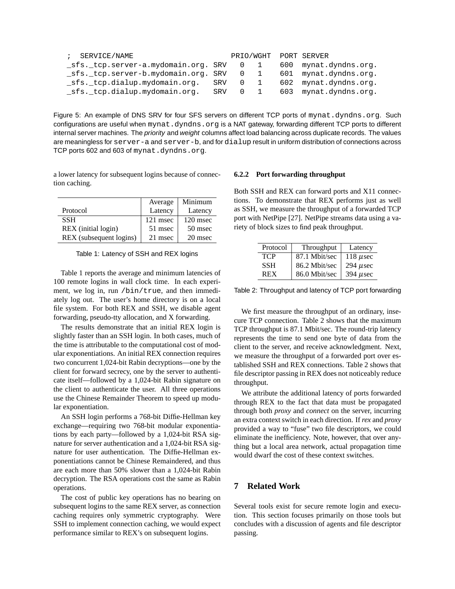| SERVICE/NAME<br>$\mathcal{L}$        |     |             |     | PRIO/WGHT PORT SERVER |
|--------------------------------------|-----|-------------|-----|-----------------------|
| _sfs._tcp.server-a.mydomain.org. SRV |     | - 0         |     | 600 mynat.dyndns.org. |
| _sfs._tcp.server-b.mydomain.org. SRV |     | U           | 601 | mynat.dyndns.org.     |
| sfs. tcp.dialup.mydomain.org.        | SRV | $0\quad 1$  |     | 602 mynat.dyndns.org. |
| sfs. tcp.dialup.mydomain.org.        | SRV | $0 \quad 1$ |     | 603 mynat.dyndns.org. |

<span id="page-10-0"></span>Figure 5: An example of DNS SRV for four SFS servers on different TCP ports of mynat.dyndns.org. Such configurations are useful when mynat.dyndns.org is a NAT gateway, forwarding different TCP ports to different internal server machines. The priority and weight columns affect load balancing across duplicate records. The values are meaningless for server-a and server-b, and for dialup result in uniform distribution of connections across TCP ports 602 and 603 of mynat.dyndns.org.

a lower latency for subsequent logins because of connection caching.

|                         | Average  | Minimum    |
|-------------------------|----------|------------|
| Protocol                | Latency  | Latency    |
| <b>SSH</b>              | 121 msec | $120$ msec |
| REX (initial login)     | 51 msec  | 50 msec    |
| REX (subsequent logins) | 21 msec  | 20 msec    |

<span id="page-10-1"></span>Table 1: Latency of SSH and REX logins

Table [1](#page-10-1) reports the average and minimum latencies of 100 remote logins in wall clock time. In each experiment, we log in, run /bin/true, and then immediately log out. The user's home directory is on a local file system. For both REX and SSH, we disable agent forwarding, pseudo-tty allocation, and X forwarding.

The results demonstrate that an initial REX login is slightly faster than an SSH login. In both cases, much of the time is attributable to the computational cost of modular exponentiations. An initial REX connection requires two concurrent 1,024-bit Rabin decryptions—one by the client for forward secrecy, one by the server to authenticate itself—followed by a 1,024-bit Rabin signature on the client to authenticate the user. All three operations use the Chinese Remainder Theorem to speed up modular exponentiation.

An SSH login performs a 768-bit Diffie-Hellman key exchange—requiring two 768-bit modular exponentiations by each party—followed by a 1,024-bit RSA signature for server authentication and a 1,024-bit RSA signature for user authentication. The Diffie-Hellman exponentiations cannot be Chinese Remaindered, and thus are each more than 50% slower than a 1,024-bit Rabin decryption. The RSA operations cost the same as Rabin operations.

The cost of public key operations has no bearing on subsequent logins to the same REX server, as connection caching requires only symmetric cryptography. Were SSH to implement connection caching, we would expect performance similar to REX's on subsequent logins.

#### **6.2.2 Port forwarding throughput**

Both SSH and REX can forward ports and X11 connections. To demonstrate that REX performs just as well as SSH, we measure the throughput of a forwarded TCP port with NetPipe [\[27\]](#page-13-20). NetPipe streams data using a variety of block sizes to find peak throughput.

| Protocol   | Throughput    | Latency       |
|------------|---------------|---------------|
| <b>TCP</b> | 87.1 Mbit/sec | 118 $\mu$ sec |
| <b>SSH</b> | 86.2 Mbit/sec | $294$ µsec    |
| <b>REX</b> | 86.0 Mbit/sec | 394 $\mu$ sec |

<span id="page-10-2"></span>Table 2: Throughput and latency of TCP port forwarding

We first measure the throughput of an ordinary, insecure TCP connection. Table [2](#page-10-2) shows that the maximum TCP throughput is 87.1 Mbit/sec. The round-trip latency represents the time to send one byte of data from the client to the server, and receive acknowledgment. Next, we measure the throughput of a forwarded port over established SSH and REX connections. Table [2](#page-10-2) shows that file descriptor passing in REX does not noticeably reduce throughput.

We attribute the additional latency of ports forwarded through REX to the fact that data must be propagated through both *proxy* and *connect* on the server, incurring an extra context switch in each direction. If *rex* and *proxy* provided a way to "fuse" two file descriptors, we could eliminate the inefficiency. Note, however, that over anything but a local area network, actual propagation time would dwarf the cost of these context switches.

# **7 Related Work**

Several tools exist for secure remote login and execution. This section focuses primarily on those tools but concludes with a discussion of agents and file descriptor passing.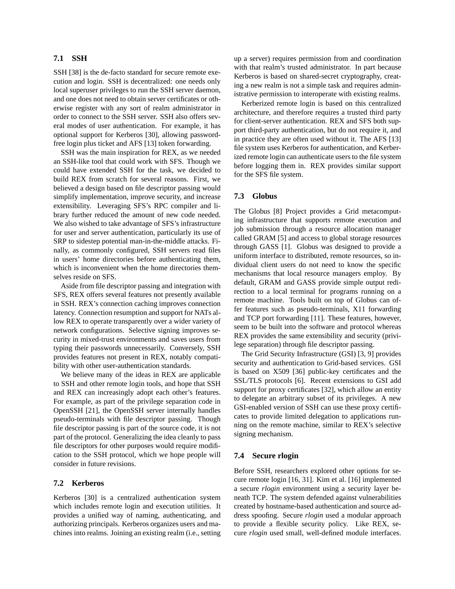## **7.1 SSH**

SSH [\[38\]](#page-13-0) is the de-facto standard for secure remote execution and login. SSH is decentralized: one needs only local superuser privileges to run the SSH server daemon, and one does not need to obtain server certificates or otherwise register with any sort of realm administrator in order to connect to the SSH server. SSH also offers several modes of user authentication. For example, it has optional support for Kerberos [\[30\]](#page-13-21), allowing passwordfree login plus ticket and AFS [\[13\]](#page-13-22) token forwarding.

SSH was the main inspiration for REX, as we needed an SSH-like tool that could work with SFS. Though we could have extended SSH for the task, we decided to build REX from scratch for several reasons. First, we believed a design based on file descriptor passing would simplify implementation, improve security, and increase extensibility. Leveraging SFS's RPC compiler and library further reduced the amount of new code needed. We also wished to take advantage of SFS's infrastructure for user and server authentication, particularly its use of SRP to sidestep potential man-in-the-middle attacks. Finally, as commonly configured, SSH servers read files in users' home directories before authenticating them, which is inconvenient when the home directories themselves reside on SFS.

Aside from file descriptor passing and integration with SFS, REX offers several features not presently available in SSH. REX's connection caching improves connection latency. Connection resumption and support for NATs allow REX to operate transparently over a wider variety of network configurations. Selective signing improves security in mixed-trust environments and saves users from typing their passwords unnecessarily. Conversely, SSH provides features not present in REX, notably compatibility with other user-authentication standards.

We believe many of the ideas in REX are applicable to SSH and other remote login tools, and hope that SSH and REX can increasingly adopt each other's features. For example, as part of the privilege separation code in OpenSSH [\[21\]](#page-13-1), the OpenSSH server internally handles pseudo-terminals with file descriptor passing. Though file descriptor passing is part of the source code, it is not part of the protocol. Generalizing the idea cleanly to pass file descriptors for other purposes would require modification to the SSH protocol, which we hope people will consider in future revisions.

## **7.2 Kerberos**

Kerberos [\[30\]](#page-13-21) is a centralized authentication system which includes remote login and execution utilities. It provides a unified way of naming, authenticating, and authorizing principals. Kerberos organizes users and machines into realms. Joining an existing realm (i.e., setting up a server) requires permission from and coordination with that realm's trusted administrator. In part because Kerberos is based on shared-secret cryptography, creating a new realm is not a simple task and requires administrative permission to interoperate with existing realms.

Kerberized remote login is based on this centralized architecture, and therefore requires a trusted third party for client-server authentication. REX and SFS both support third-party authentication, but do not require it, and in practice they are often used without it. The AFS [\[13\]](#page-13-22) file system uses Kerberos for authentication, and Kerberized remote login can authenticate users to the file system before logging them in. REX provides similar support for the SFS file system.

### **7.3 Globus**

The Globus [\[8\]](#page-13-23) Project provides a Grid metacomputing infrastructure that supports remote execution and job submission through a resource allocation manager called GRAM [\[5\]](#page-13-24) and access to global storage resources through GASS [\[1\]](#page-12-0). Globus was designed to provide a uniform interface to distributed, remote resources, so individual client users do not need to know the specific mechanisms that local resource managers employ. By default, GRAM and GASS provide simple output redirection to a local terminal for programs running on a remote machine. Tools built on top of Globus can offer features such as pseudo-terminals, X11 forwarding and TCP port forwarding [\[11\]](#page-13-25). These features, however, seem to be built into the software and protocol whereas REX provides the same extensibility and security (privilege separation) through file descriptor passing.

The Grid Security Infrastructure (GSI) [\[3,](#page-12-1) [9\]](#page-13-26) provides security and authentication to Grid-based services. GSI is based on X509 [\[36\]](#page-13-27) public-key certificates and the SSL/TLS protocols [\[6\]](#page-13-8). Recent extensions to GSI add support for proxy certificates [\[32\]](#page-13-28), which allow an entity to delegate an arbitrary subset of its privileges. A new GSI-enabled version of SSH can use these proxy certificates to provide limited delegation to applications running on the remote machine, similar to REX's selective signing mechanism.

### **7.4 Secure rlogin**

Before SSH, researchers explored other options for secure remote login [\[16,](#page-13-29) [31\]](#page-13-30). Kim et al. [\[16\]](#page-13-29) implemented a secure *rlogin* environment using a security layer beneath TCP. The system defended against vulnerabilities created by hostname-based authentication and source address spoofing. Secure *rlogin* used a modular approach to provide a flexible security policy. Like REX, secure *rlogin* used small, well-defined module interfaces.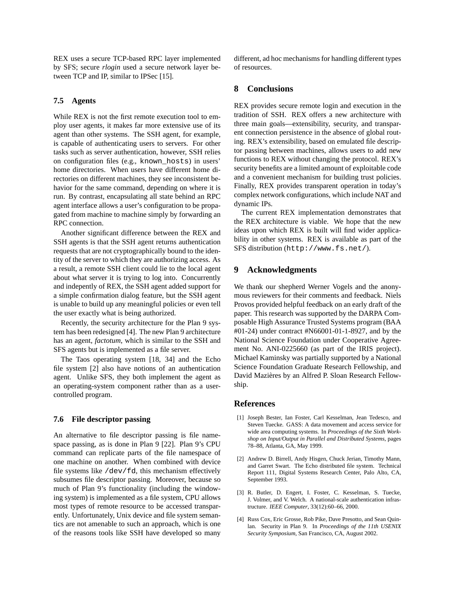REX uses a secure TCP-based RPC layer implemented by SFS; secure *rlogin* used a secure network layer between TCP and IP, similar to IPSec [\[15\]](#page-13-31).

## **7.5 Agents**

While REX is not the first remote execution tool to employ user agents, it makes far more extensive use of its agent than other systems. The SSH agent, for example, is capable of authenticating users to servers. For other tasks such as server authentication, however, SSH relies on configuration files (e.g., known\_hosts) in users' home directories. When users have different home directories on different machines, they see inconsistent behavior for the same command, depending on where it is run. By contrast, encapsulating all state behind an RPC agent interface allows a user's configuration to be propagated from machine to machine simply by forwarding an RPC connection.

Another significant difference between the REX and SSH agents is that the SSH agent returns authentication requests that are not cryptographically bound to the identity of the server to which they are authorizing access. As a result, a remote SSH client could lie to the local agent about what server it is trying to log into. Concurrently and indepently of REX, the SSH agent added support for a simple confirmation dialog feature, but the SSH agent is unable to build up any meaningful policies or even tell the user exactly what is being authorized.

Recently, the security architecture for the Plan 9 system has been redesigned [\[4\]](#page-12-2). The new Plan 9 architecture has an agent, *factotum*, which is similar to the SSH and SFS agents but is implemented as a file server.

The Taos operating system [\[18,](#page-13-32) [34\]](#page-13-33) and the Echo file system [\[2\]](#page-12-3) also have notions of an authentication agent. Unlike SFS, they both implement the agent as an operating-system component rather than as a usercontrolled program.

### **7.6 File descriptor passing**

An alternative to file descriptor passing is file namespace passing, as is done in Plan 9 [\[22\]](#page-13-34). Plan 9's CPU command can replicate parts of the file namespace of one machine on another. When combined with device file systems like /dev/fd, this mechanism effectively subsumes file descriptor passing. Moreover, because so much of Plan 9's functionality (including the windowing system) is implemented as a file system, CPU allows most types of remote resource to be accessed transparently. Unfortunately, Unix device and file system semantics are not amenable to such an approach, which is one of the reasons tools like SSH have developed so many different, ad hoc mechanisms for handling different types of resources.

# **8 Conclusions**

REX provides secure remote login and execution in the tradition of SSH. REX offers a new architecture with three main goals—extensibility, security, and transparent connection persistence in the absence of global routing. REX's extensibility, based on emulated file descriptor passing between machines, allows users to add new functions to REX without changing the protocol. REX's security benefits are a limited amount of exploitable code and a convenient mechanism for building trust policies. Finally, REX provides transparent operation in today's complex network configurations, which include NAT and dynamic IPs.

The current REX implementation demonstrates that the REX architecture is viable. We hope that the new ideas upon which REX is built will find wider applicability in other systems. REX is available as part of the SFS distribution (<http://www.fs.net/>).

## **9 Acknowledgments**

We thank our shepherd Werner Vogels and the anonymous reviewers for their comments and feedback. Niels Provos provided helpful feedback on an early draft of the paper. This research was supported by the DARPA Composable High Assurance Trusted Systems program (BAA #01-24) under contract #N66001-01-1-8927, and by the National Science Foundation under Cooperative Agreement No. ANI-0225660 (as part of the IRIS project). Michael Kaminsky was partially supported by a National Science Foundation Graduate Research Fellowship, and David Mazières by an Alfred P. Sloan Research Fellowship.

### **References**

- <span id="page-12-0"></span>[1] Joseph Bester, Ian Foster, Carl Kesselman, Jean Tedesco, and Steven Tuecke. GASS: A data movement and access service for wide area computing systems. In *Proceedings of the Sixth Workshop on Input/Output in Parallel and Distributed Systems*, pages 78–88, Atlanta, GA, May 1999.
- <span id="page-12-3"></span>[2] Andrew D. Birrell, Andy Hisgen, Chuck Jerian, Timothy Mann, and Garret Swart. The Echo distributed file system. Technical Report 111, Digital Systems Research Center, Palo Alto, CA, September 1993.
- <span id="page-12-1"></span>[3] R. Butler, D. Engert, I. Foster, C. Kesselman, S. Tuecke, J. Volmer, and V. Welch. A national-scale authentication infrastructure. *IEEE Computer*, 33(12):60–66, 2000.
- <span id="page-12-2"></span>[4] Russ Cox, Eric Grosse, Rob Pike, Dave Presotto, and Sean Quinlan. Security in Plan 9. In *Proceedings of the 11th USENIX Security Symposium*, San Francisco, CA, August 2002.